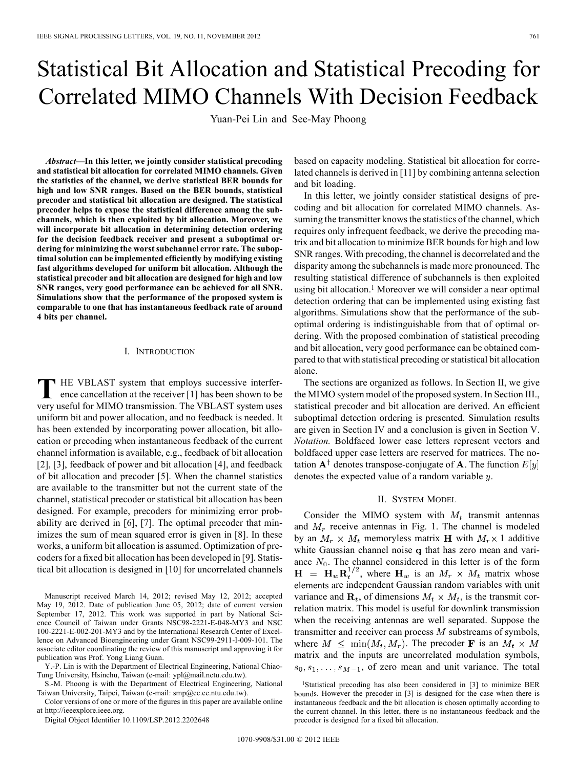# Statistical Bit Allocation and Statistical Precoding for Correlated MIMO Channels With Decision Feedback

Yuan-Pei Lin and See-May Phoong

*Abstract—***In this letter, we jointly consider statistical precoding and statistical bit allocation for correlated MIMO channels. Given the statistics of the channel, we derive statistical BER bounds for high and low SNR ranges. Based on the BER bounds, statistical precoder and statistical bit allocation are designed. The statistical precoder helps to expose the statistical difference among the subchannels, which is then exploited by bit allocation. Moreover, we will incorporate bit allocation in determining detection ordering for the decision feedback receiver and present a suboptimal ordering for minimizing the worst subchannel error rate. The suboptimal solution can be implemented efficiently by modifying existing fast algorithms developed for uniform bit allocation. Although the statistical precoder and bit allocation are designed for high and low SNR ranges, very good performance can be achieved for all SNR. Simulations show that the performance of the proposed system is comparable to one that has instantaneous feedback rate of around 4 bits per channel.**

#### I. INTRODUCTION

**T** HE VBLAST system that employs successive interference cancellation at the receiver [1] has been shown to be very useful for MIMO transmission. The VBLAST system uses uniform bit and power allocation, and no feedback is needed. It has been extended by incorporating power allocation, bit allocation or precoding when instantaneous feedback of the current channel information is available, e.g., feedback of bit allocation [2], [3], feedback of power and bit allocation [4], and feedback of bit allocation and precoder [5]. When the channel statistics are available to the transmitter but not the current state of the channel, statistical precoder or statistical bit allocation has been designed. For example, precoders for minimizing error probability are derived in [6], [7]. The optimal precoder that minimizes the sum of mean squared error is given in [8]. In these works, a uniform bit allocation is assumed. Optimization of precoders for a fixed bit allocation has been developed in [9]. Statistical bit allocation is designed in [10] for uncorrelated channels

Manuscript received March 14, 2012; revised May 12, 2012; accepted May 19, 2012. Date of publication June 05, 2012; date of current version September 17, 2012. This work was supported in part by National Science Council of Taiwan under Grants NSC98-2221-E-048-MY3 and NSC 100-2221-E-002-201-MY3 and by the International Research Center of Excellence on Advanced Bioengineering under Grant NSC99-2911-I-009-101. The associate editor coordinating the review of this manuscript and approving it for publication was Prof. Yong Liang Guan.

Y.-P. Lin is with the Department of Electrical Engineering, National Chiao-Tung University, Hsinchu, Taiwan (e-mail: ypl@mail.nctu.edu.tw).

S.-M. Phoong is with the Department of Electrical Engineering, National Taiwan University, Taipei, Taiwan (e-mail: smp@cc.ee.ntu.edu.tw).

Color versions of one or more of the figures in this paper are available online at http://ieeexplore.ieee.org.

Digital Object Identifier 10.1109/LSP.2012.2202648

based on capacity modeling. Statistical bit allocation for correlated channels is derived in [11] by combining antenna selection and bit loading.

In this letter, we jointly consider statistical designs of precoding and bit allocation for correlated MIMO channels. Assuming the transmitter knows the statistics of the channel, which requires only infrequent feedback, we derive the precoding matrix and bit allocation to minimize BER bounds for high and low SNR ranges. With precoding, the channel is decorrelated and the disparity among the subchannels is made more pronounced. The resulting statistical difference of subchannels is then exploited using bit allocation.1 Moreover we will consider a near optimal detection ordering that can be implemented using existing fast algorithms. Simulations show that the performance of the suboptimal ordering is indistinguishable from that of optimal ordering. With the proposed combination of statistical precoding and bit allocation, very good performance can be obtained compared to that with statistical precoding or statistical bit allocation alone.

The sections are organized as follows. In Section II, we give the MIMO system model of the proposed system. In Section III., statistical precoder and bit allocation are derived. An efficient suboptimal detection ordering is presented. Simulation results are given in Section IV and a conclusion is given in Section V. *Notation.* Boldfaced lower case letters represent vectors and boldfaced upper case letters are reserved for matrices. The notation  $A^{\dagger}$  denotes transpose-conjugate of A. The function  $E[y]$ denotes the expected value of a random variable  $y$ .

### II. SYSTEM MODEL

Consider the MIMO system with  $M_t$  transmit antennas and  $M_r$  receive antennas in Fig. 1. The channel is modeled by an  $M_r \times M_t$  memoryless matrix **H** with  $M_r \times 1$  additive white Gaussian channel noise q that has zero mean and variance  $N_0$ . The channel considered in this letter is of the form  $\mathbf{H} = \mathbf{H}_w \mathbf{R}_t^{1/2}$ , where  $\mathbf{H}_w$  is an  $M_r \times M_t$  matrix whose elements are independent Gaussian random variables with unit variance and  $\mathbf{R}_t$ , of dimensions  $M_t \times M_t$ , is the transmit correlation matrix. This model is useful for downlink transmission when the receiving antennas are well separated. Suppose the transmitter and receiver can process  $M$  substreams of symbols, where  $M \n\leq \min(M_t, M_r)$ . The precoder **F** is an  $M_t \times M$ matrix and the inputs are uncorrelated modulation symbols,  $s_0, s_1, \ldots, s_{M-1}$ , of zero mean and unit variance. The total

<sup>&</sup>lt;sup>1</sup>Statistical precoding has also been considered in [3] to minimize BER bounds. However the precoder in [3] is designed for the case when there is instantaneous feedback and the bit allocation is chosen optimally according to the current channel. In this letter, there is no instantaneous feedback and the precoder is designed for a fixed bit allocation.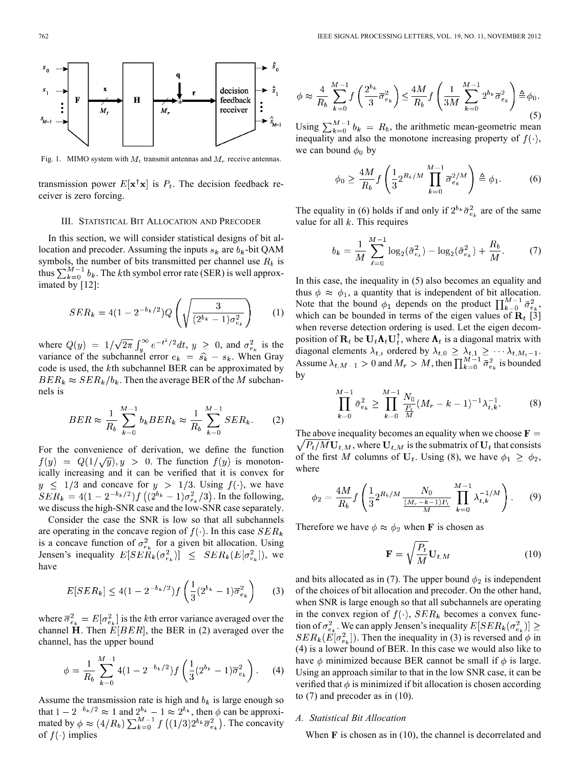

Fig. 1. MIMO system with  $M_t$  transmit antennas and  $M_r$  receive antennas.

transmission power  $E[\mathbf{x}^\dagger \mathbf{x}]$  is  $P_t$ . The decision feedback receiver is zero forcing.

## III. STATISTICAL BIT ALLOCATION AND PRECODER

In this section, we will consider statistical designs of bit allocation and precoder. Assuming the inputs  $s_k$  are  $b_k$ -bit QAM symbols, the number of bits transmitted per channel use  $R_b$  is thus  $\sum_{k=0}^{M-1} b_k$ . The kth symbol error rate (SER) is well approximated by [12]:

$$
SER_k = 4(1 - 2^{-b_k/2})Q\left(\sqrt{\frac{3}{(2^{b_k} - 1)\sigma_{e_k}^2}}\right) \qquad (1)
$$

where  $Q(y) = 1/\sqrt{2\pi} \int_{y}^{\infty} e^{-t^2/2} dt$ ,  $y \ge 0$ , and  $\sigma_{e_k}^2$  is the variance of the subchannel error  $e_k = \hat{s}_k - s_k$ . When Gray code is used, the  $k$ th subchannel BER can be approximated by  $BER_k \approx SER_k/b_k$ . Then the average BER of the M subchannels is

$$
BER \approx \frac{1}{R_b} \sum_{k=0}^{M-1} b_k BER_k \approx \frac{1}{R_b} \sum_{k=0}^{M-1} SER_k.
$$
 (2)

For the convenience of derivation, we define the function  $f(y) = Q(1/\sqrt{y}), y > 0$ . The function  $f(y)$  is monotonically increasing and it can be verified that it is convex for  $y \leq 1/3$  and concave for  $y > 1/3$ . Using  $f(\cdot)$ , we have  $\overline{SER}_k = 4(1 - 2^{-b_k/2})f((2^{b_k} - 1)\sigma_{e_k}^2/3)$ . In the following, we discuss the high-SNR case and the low-SNR case separately.

Consider the case the SNR is low so that all subchannels are operating in the concave region of  $f(\cdot)$ . In this case  $SER_k$ is a concave function of  $\sigma_{e_k}^2$  for a given bit allocation. Using Jensen's inequality  $E[SE\tilde{R}_k(\sigma_{e_k}^2)] \leq SER_k(E[\sigma_{e_k}^2])$ , we have

$$
E[SER_k] \le 4(1 - 2^{-b_k/2})f\left(\frac{1}{3}(2^{b_k} - 1)\overline{\sigma}_{e_k}^2\right) \tag{3}
$$

where  $\overline{\sigma}_{e_k}^2 = E[\sigma_{e_k}^2]$  is the kth error variance averaged over the channel H. Then  $E[BER]$ , the BER in (2) averaged over the channel, has the upper bound

$$
\phi = \frac{1}{R_b} \sum_{k=0}^{M-1} 4(1 - 2^{-b_k/2}) f\left(\frac{1}{3} (2^{b_k} - 1) \overline{\sigma}_{e_k}^2\right). \tag{4}
$$

Assume the transmission rate is high and  $b_k$  is large enough so that  $1 - 2^{-b_k/2} \approx 1$  and  $2^{b_k} - 1 \approx 2^{b_k}$ , then  $\phi$  can be approximated by  $\phi \approx (4/R_b) \sum_{k=0}^{M-1} f((1/3)2^{b_k} \overline{\sigma}_{e_k}^2)$ . The concavity of  $f(\cdot)$  implies

$$
\phi \approx \frac{4}{R_b} \sum_{k=0}^{M-1} f\left(\frac{2^{b_k}}{3} \overline{\sigma}_{e_k}^2\right) \le \frac{4M}{R_b} f\left(\frac{1}{3M} \sum_{k=0}^{M-1} 2^{b_k} \overline{\sigma}_{e_k}^2\right) \triangleq \phi_0.
$$
\n
$$
= M - 1 \tag{5}
$$

Using  $\sum_{k=0}^{M-1} b_k = R_b$ , the arithmetic mean-geometric mean inequality and also the monotone increasing property of  $f(\cdot)$ , we can bound  $\phi_0$  by

$$
\phi_0 \ge \frac{4M}{R_b} f\left(\frac{1}{3} 2^{R_b/M} \prod_{k=0}^{M-1} \overline{\sigma}_{e_k}^{2/M}\right) \triangleq \phi_1. \tag{6}
$$

The equality in (6) holds if and only if  $2^{b_k} \bar{\sigma}_{e_k}^2$  are of the same value for all  $k$ . This requires

$$
b_k = \frac{1}{M} \sum_{\ell=0}^{M-1} \log_2(\bar{\sigma}_{e_\ell}^2) - \log_2(\bar{\sigma}_{e_k}^2) + \frac{R_b}{M}.
$$
 (7)

In this case, the inequality in (5) also becomes an equality and thus  $\phi \approx \phi_1$ , a quantity that is independent of bit allocation. Note that the bound  $\phi_1$  depends on the product  $\prod_{k=0}^{M-1} \bar{\sigma}_{e_k}^2$ , which can be bounded in terms of the eigen values of  $\mathbf{R}_t$  [3] when reverse detection ordering is used. Let the eigen decomposition of  $\mathbf{R}_t$  be  $\mathbf{U}_t \mathbf{\Lambda}_t \mathbf{U}_t^{\mathsf{T}}$ , where  $\mathbf{\Lambda}_t$  is a diagonal matrix with diagonal elements  $\lambda_{t,i}$  ordered by  $\lambda_{t,0} \geq \lambda_{t,1} \geq \cdots \lambda_{t,M_t-1}$ . Assume  $\lambda_{t,M-1} > 0$  and  $M_r > M$ , then  $\prod_{k=0}^{M-1} \bar{\sigma}_{e_k}^2$  is bounded by

$$
\prod_{k=0}^{M-1} \bar{\sigma}_{e_k}^2 \ge \prod_{k=0}^{M-1} \frac{N_0}{\frac{P_t}{M}} (M_r - k - 1)^{-1} \lambda_{t,k}^{-1}.
$$
 (8)

The above inequality becomes an equality when we choose  $\mathbf{F} =$  $\sqrt{P_t/MU_{t,M}}$ , where  $U_{t,M}$  is the submatrix of  $U_t$  that consists of the first M columns of  $U_t$ . Using (8), we have  $\phi_1 \ge \phi_2$ , where

$$
\phi_2 = \frac{4M}{R_b} f\left(\frac{1}{3} 2^{R_b/M} \frac{N_0}{\frac{(M_r - k - 1)P_t}{M}} \prod_{k=0}^{M-1} \lambda_{t,k}^{-1/M}\right). \tag{9}
$$

Therefore we have  $\phi \approx \phi_2$  when **F** is chosen as

$$
\mathbf{F} = \sqrt{\frac{P_t}{M}} \mathbf{U}_{t,M} \tag{10}
$$

and bits allocated as in (7). The upper bound  $\phi_2$  is independent of the choices of bit allocation and precoder. On the other hand, when SNR is large enough so that all subchannels are operating in the convex region of  $f(\cdot)$ ,  $SER_k$  becomes a convex function of  $\sigma_{e_k}^2$ . We can apply Jensen's inequality  $E[SER_k(\sigma_{e_k}^2)] \geq$  $SER_k(E[\sigma_{e_k}^2])$ . Then the inequality in (3) is reversed and  $\phi$  in (4) is a lower bound of BER. In this case we would also like to have  $\phi$  minimized because BER cannot be small if  $\phi$  is large. Using an approach similar to that in the low SNR case, it can be verified that  $\phi$  is minimized if bit allocation is chosen according to (7) and precoder as in (10).

#### *A. Statistical Bit Allocation*

When  $\bf{F}$  is chosen as in (10), the channel is decorrelated and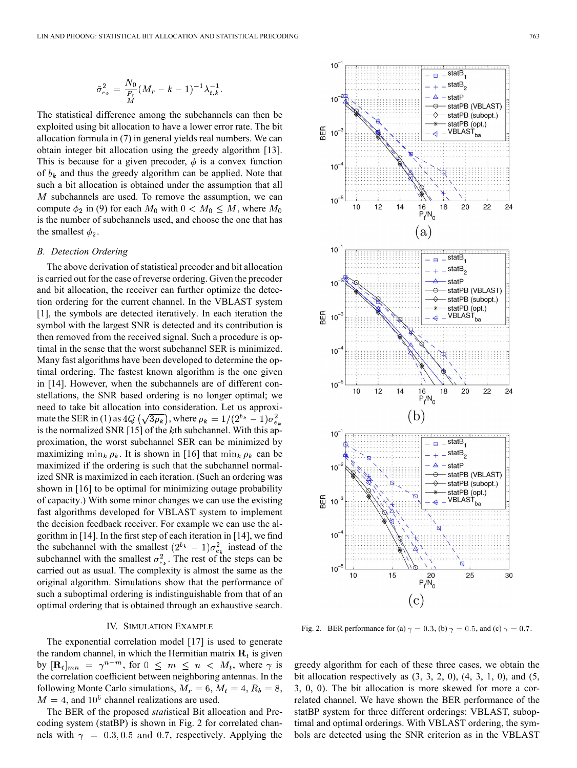$$
\bar{\sigma}_{e_k}^2 = \frac{N_0}{\frac{P_t}{M}} (M_r - k - 1)^{-1} \lambda_{t,k}^{-1}
$$

The statistical difference among the subchannels can then be exploited using bit allocation to have a lower error rate. The bit allocation formula in (7) in general yields real numbers. We can obtain integer bit allocation using the greedy algorithm [13]. This is because for a given precoder,  $\phi$  is a convex function of  $b_k$  and thus the greedy algorithm can be applied. Note that such a bit allocation is obtained under the assumption that all  $M$  subchannels are used. To remove the assumption, we can compute  $\phi_2$  in (9) for each  $M_0$  with  $0 < M_0 \leq M$ , where  $M_0$ is the number of subchannels used, and choose the one that has the smallest  $\phi_2$ .

#### *B. Detection Ordering*

The above derivation of statistical precoder and bit allocation is carried out for the case of reverse ordering. Given the precoder and bit allocation, the receiver can further optimize the detection ordering for the current channel. In the VBLAST system [1], the symbols are detected iteratively. In each iteration the symbol with the largest SNR is detected and its contribution is then removed from the received signal. Such a procedure is optimal in the sense that the worst subchannel SER is minimized. Many fast algorithms have been developed to determine the optimal ordering. The fastest known algorithm is the one given in [14]. However, when the subchannels are of different constellations, the SNR based ordering is no longer optimal; we need to take bit allocation into consideration. Let us approximate the SER in (1) as  $4Q\left(\sqrt{3\rho_k}\right)$ , where  $\rho_k = 1/(2^{b_k} - 1)\sigma_{e_k}^2$ is the normalized SNR [15] of the  $k$ th subchannel. With this approximation, the worst subchannel SER can be minimized by maximizing  $\min_k \rho_k$ . It is shown in [16] that  $\min_k \rho_k$  can be maximized if the ordering is such that the subchannel normalized SNR is maximized in each iteration. (Such an ordering was shown in [16] to be optimal for minimizing outage probability of capacity.) With some minor changes we can use the existing fast algorithms developed for VBLAST system to implement the decision feedback receiver. For example we can use the algorithm in [14]. In the first step of each iteration in [14], we find the subchannel with the smallest  $(2^{b_k} - 1)\sigma_{e_k}^2$  instead of the subchannel with the smallest  $\sigma_{e_{\ell}}^2$ . The rest of the steps can be carried out as usual. The complexity is almost the same as the original algorithm. Simulations show that the performance of such a suboptimal ordering is indistinguishable from that of an optimal ordering that is obtained through an exhaustive search.

## IV. SIMULATION EXAMPLE

The exponential correlation model [17] is used to generate the random channel, in which the Hermitian matrix  $\mathbf{R}_t$  is given by  $[\mathbf{R}_t]_{mn} = \gamma^{n-m}$ , for  $0 \leq m \leq n \langle M_t, \text{ where } \gamma \text{ is }$ the correlation coefficient between neighboring antennas. In the following Monte Carlo simulations,  $M_r = 6$ ,  $M_t = 4$ ,  $R_b = 8$ ,  $M = 4$ , and 10<sup>6</sup> channel realizations are used.

The BER of the proposed *stat*istical Bit allocation and Precoding system (statBP) is shown in Fig. 2 for correlated channels with  $\gamma = 0.3, 0.5$  and 0.7, respectively. Applying the



Fig. 2. BER performance for (a)  $\gamma = 0.3$ , (b)  $\gamma = 0.5$ , and (c)  $\gamma = 0.7$ .

greedy algorithm for each of these three cases, we obtain the bit allocation respectively as  $(3, 3, 2, 0)$ ,  $(4, 3, 1, 0)$ , and  $(5, 1, 0)$ 3, 0, 0). The bit allocation is more skewed for more a correlated channel. We have shown the BER performance of the statBP system for three different orderings: VBLAST, suboptimal and optimal orderings. With VBLAST ordering, the symbols are detected using the SNR criterion as in the VBLAST